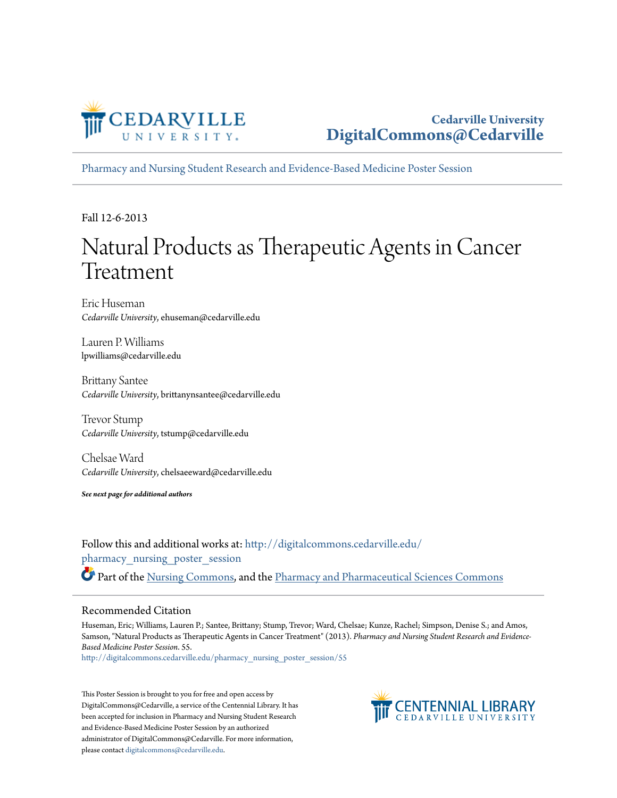

[Pharmacy and Nursing Student Research and Evidence-Based Medicine Poster Session](http://digitalcommons.cedarville.edu/pharmacy_nursing_poster_session?utm_source=digitalcommons.cedarville.edu%2Fpharmacy_nursing_poster_session%2F55&utm_medium=PDF&utm_campaign=PDFCoverPages)

Fall 12-6-2013

#### Natural Products as Therapeutic Agents in Cancer Treatment

Eric Huseman *Cedarville University*, ehuseman@cedarville.edu

Lauren P. Williams lpwilliams@cedarville.edu

Brittany Santee *Cedarville University*, brittanynsantee@cedarville.edu

Trevor Stump *Cedarville University*, tstump@cedarville.edu

Chelsae Ward *Cedarville University*, chelsaeeward@cedarville.edu

*See next page for additional authors*

Follow this and additional works at: [http://digitalcommons.cedarville.edu/](http://digitalcommons.cedarville.edu/pharmacy_nursing_poster_session?utm_source=digitalcommons.cedarville.edu%2Fpharmacy_nursing_poster_session%2F55&utm_medium=PDF&utm_campaign=PDFCoverPages) [pharmacy\\_nursing\\_poster\\_session](http://digitalcommons.cedarville.edu/pharmacy_nursing_poster_session?utm_source=digitalcommons.cedarville.edu%2Fpharmacy_nursing_poster_session%2F55&utm_medium=PDF&utm_campaign=PDFCoverPages) Part of the [Nursing Commons](http://network.bepress.com/hgg/discipline/718?utm_source=digitalcommons.cedarville.edu%2Fpharmacy_nursing_poster_session%2F55&utm_medium=PDF&utm_campaign=PDFCoverPages), and the [Pharmacy and Pharmaceutical Sciences Commons](http://network.bepress.com/hgg/discipline/731?utm_source=digitalcommons.cedarville.edu%2Fpharmacy_nursing_poster_session%2F55&utm_medium=PDF&utm_campaign=PDFCoverPages)

#### Recommended Citation

Huseman, Eric; Williams, Lauren P.; Santee, Brittany; Stump, Trevor; Ward, Chelsae; Kunze, Rachel; Simpson, Denise S.; and Amos, Samson, "Natural Products as Therapeutic Agents in Cancer Treatment" (2013). *Pharmacy and Nursing Student Research and Evidence-Based Medicine Poster Session*. 55.

[http://digitalcommons.cedarville.edu/pharmacy\\_nursing\\_poster\\_session/55](http://digitalcommons.cedarville.edu/pharmacy_nursing_poster_session/55?utm_source=digitalcommons.cedarville.edu%2Fpharmacy_nursing_poster_session%2F55&utm_medium=PDF&utm_campaign=PDFCoverPages)

This Poster Session is brought to you for free and open access by DigitalCommons@Cedarville, a service of the Centennial Library. It has been accepted for inclusion in Pharmacy and Nursing Student Research and Evidence-Based Medicine Poster Session by an authorized administrator of DigitalCommons@Cedarville. For more information, please contact [digitalcommons@cedarville.edu.](mailto:digitalcommons@cedarville.edu)

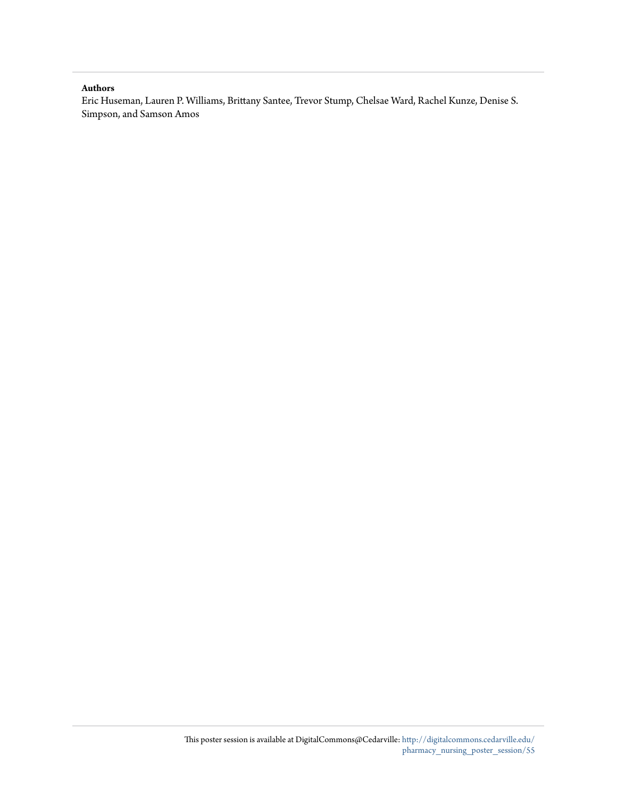#### **Authors**

Eric Huseman, Lauren P. Williams, Brittany Santee, Trevor Stump, Chelsae Ward, Rachel Kunze, Denise S. Simpson, and Samson Amos